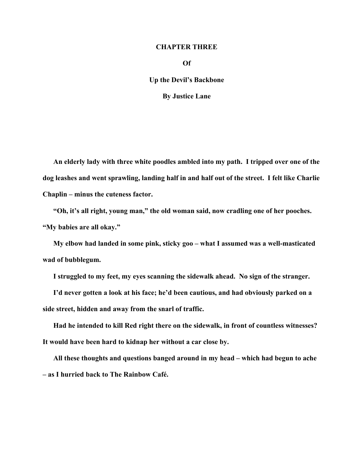## **CHAPTER THREE**

**Of** 

**Up the Devil's Backbone** 

**By Justice Lane** 

**An elderly lady with three white poodles ambled into my path. I tripped over one of the dog leashes and went sprawling, landing half in and half out of the street. I felt like Charlie Chaplin – minus the cuteness factor.** 

**"Oh, it's all right, young man," the old woman said, now cradling one of her pooches. "My babies are all okay."** 

**My elbow had landed in some pink, sticky goo – what I assumed was a well-masticated wad of bubblegum.** 

**I struggled to my feet, my eyes scanning the sidewalk ahead. No sign of the stranger.** 

**I'd never gotten a look at his face; he'd been cautious, and had obviously parked on a side street, hidden and away from the snarl of traffic.** 

**Had he intended to kill Red right there on the sidewalk, in front of countless witnesses? It would have been hard to kidnap her without a car close by.** 

**All these thoughts and questions banged around in my head – which had begun to ache – as I hurried back to The Rainbow Café.**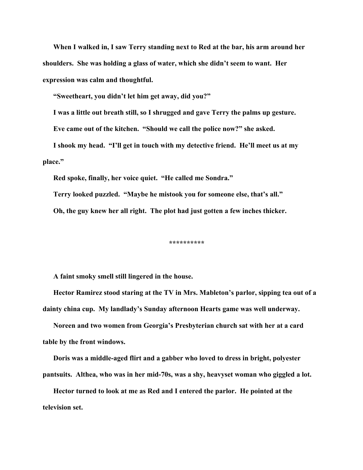**When I walked in, I saw Terry standing next to Red at the bar, his arm around her shoulders. She was holding a glass of water, which she didn't seem to want. Her expression was calm and thoughtful.** 

**"Sweetheart, you didn't let him get away, did you?"** 

**I was a little out breath still, so I shrugged and gave Terry the palms up gesture.** 

**Eve came out of the kitchen. "Should we call the police now?" she asked.** 

**I shook my head. "I'll get in touch with my detective friend. He'll meet us at my place."** 

**Red spoke, finally, her voice quiet. "He called me Sondra."** 

**Terry looked puzzled. "Maybe he mistook you for someone else, that's all."** 

**Oh, the guy knew her all right. The plot had just gotten a few inches thicker.** 

**\*\*\*\*\*\*\*\*\*\*** 

**A faint smoky smell still lingered in the house.** 

**Hector Ramirez stood staring at the TV in Mrs. Mableton's parlor, sipping tea out of a dainty china cup. My landlady's Sunday afternoon Hearts game was well underway.** 

**Noreen and two women from Georgia's Presbyterian church sat with her at a card table by the front windows.** 

**Doris was a middle-aged flirt and a gabber who loved to dress in bright, polyester pantsuits. Althea, who was in her mid-70s, was a shy, heavyset woman who giggled a lot.** 

**Hector turned to look at me as Red and I entered the parlor. He pointed at the television set.**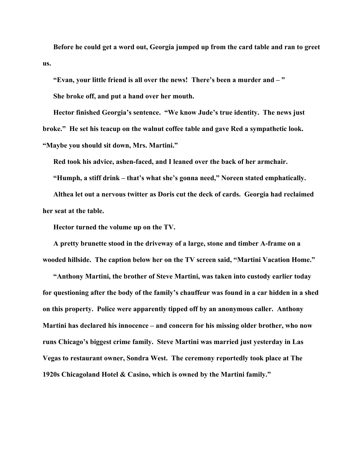**Before he could get a word out, Georgia jumped up from the card table and ran to greet us.** 

**"Evan, your little friend is all over the news! There's been a murder and – " She broke off, and put a hand over her mouth.** 

**Hector finished Georgia's sentence. "We know Jude's true identity. The news just broke." He set his teacup on the walnut coffee table and gave Red a sympathetic look. "Maybe you should sit down, Mrs. Martini."** 

**Red took his advice, ashen-faced, and I leaned over the back of her armchair.** 

**"Humph, a stiff drink – that's what she's gonna need," Noreen stated emphatically.** 

**Althea let out a nervous twitter as Doris cut the deck of cards. Georgia had reclaimed her seat at the table.** 

**Hector turned the volume up on the TV.** 

**A pretty brunette stood in the driveway of a large, stone and timber A-frame on a wooded hillside. The caption below her on the TV screen said, "Martini Vacation Home."** 

**"Anthony Martini, the brother of Steve Martini, was taken into custody earlier today for questioning after the body of the family's chauffeur was found in a car hidden in a shed on this property. Police were apparently tipped off by an anonymous caller. Anthony Martini has declared his innocence – and concern for his missing older brother, who now runs Chicago's biggest crime family. Steve Martini was married just yesterday in Las Vegas to restaurant owner, Sondra West. The ceremony reportedly took place at The 1920s Chicagoland Hotel & Casino, which is owned by the Martini family."**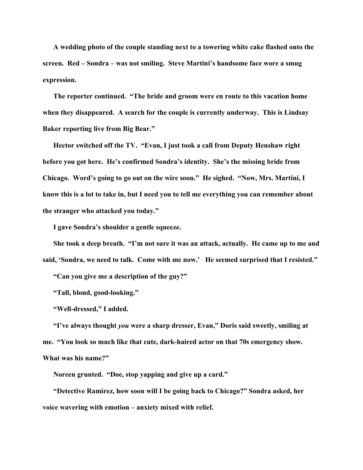**A wedding photo of the couple standing next to a towering white cake flashed onto the screen. Red – Sondra – was not smiling. Steve Martini's handsome face wore a smug expression.** 

**The reporter continued. "The bride and groom were en route to this vacation home when they disappeared. A search for the couple is currently underway. This is Lindsay Baker reporting live from Big Bear."** 

**Hector switched off the TV. "Evan, I just took a call from Deputy Henshaw right before you got here. He's confirmed Sondra's identity. She's the missing bride from Chicago. Word's going to go out on the wire soon." He sighed. "Now, Mrs. Martini, I know this is a lot to take in, but I need you to tell me everything you can remember about the stranger who attacked you today."** 

**I gave Sondra's shoulder a gentle squeeze.** 

**She took a deep breath. "I'm not sure it was an attack, actually. He came up to me and said, 'Sondra, we need to talk. Come with me now.' He seemed surprised that I resisted."** 

**"Can you give me a description of the guy?"** 

**"Tall, blond, good-looking."** 

**"Well-dressed," I added.** 

**"I've always thought** *you* **were a sharp dresser, Evan," Doris said sweetly, smiling at me. "You look so much like that cute, dark-haired actor on that 70s emergency show. What was his name?"** 

**Noreen grunted. "Doe, stop yapping and give up a card."** 

**"Detective Ramirez, how soon will I be going back to Chicago?" Sondra asked, her voice wavering with emotion – anxiety mixed with relief.**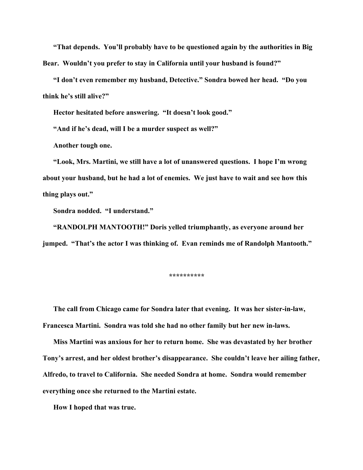**"That depends. You'll probably have to be questioned again by the authorities in Big Bear. Wouldn't you prefer to stay in California until your husband is found?"** 

**"I don't even remember my husband, Detective." Sondra bowed her head. "Do you think he's still alive?"** 

**Hector hesitated before answering. "It doesn't look good."** 

**"And if he's dead, will I be a murder suspect as well?"** 

**Another tough one.** 

**"Look, Mrs. Martini, we still have a lot of unanswered questions. I hope I'm wrong about your husband, but he had a lot of enemies. We just have to wait and see how this thing plays out."** 

**Sondra nodded. "I understand."** 

**"RANDOLPH MANTOOTH!" Doris yelled triumphantly, as everyone around her jumped. "That's the actor I was thinking of. Evan reminds me of Randolph Mantooth."** 

**\*\*\*\*\*\*\*\*\*\*** 

**The call from Chicago came for Sondra later that evening. It was her sister-in-law, Francesca Martini. Sondra was told she had no other family but her new in-laws.** 

**Miss Martini was anxious for her to return home. She was devastated by her brother Tony's arrest, and her oldest brother's disappearance. She couldn't leave her ailing father, Alfredo, to travel to California. She needed Sondra at home. Sondra would remember everything once she returned to the Martini estate.** 

**How I hoped that was true.**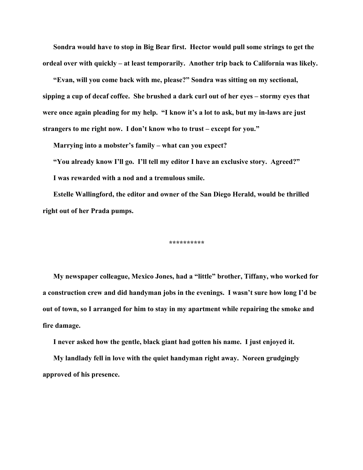**Sondra would have to stop in Big Bear first. Hector would pull some strings to get the ordeal over with quickly – at least temporarily. Another trip back to California was likely.** 

**"Evan, will you come back with me, please?" Sondra was sitting on my sectional, sipping a cup of decaf coffee. She brushed a dark curl out of her eyes – stormy eyes that were once again pleading for my help. "I know it's a lot to ask, but my in-laws are just strangers to me right now. I don't know who to trust – except for you."** 

**Marrying into a mobster's family – what can you expect?** 

**"You already know I'll go. I'll tell my editor I have an exclusive story. Agreed?" I was rewarded with a nod and a tremulous smile.** 

**Estelle Wallingford, the editor and owner of the San Diego Herald, would be thrilled right out of her Prada pumps.** 

**\*\*\*\*\*\*\*\*\*\*** 

**My newspaper colleague, Mexico Jones, had a "little" brother, Tiffany, who worked for a construction crew and did handyman jobs in the evenings. I wasn't sure how long I'd be out of town, so I arranged for him to stay in my apartment while repairing the smoke and fire damage.** 

**I never asked how the gentle, black giant had gotten his name. I just enjoyed it.** 

**My landlady fell in love with the quiet handyman right away. Noreen grudgingly approved of his presence.**